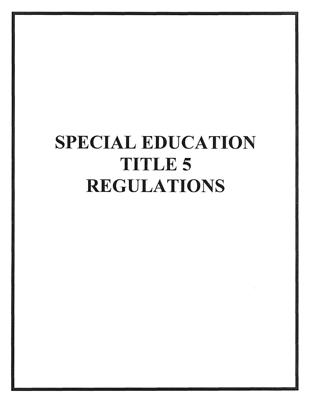# SPECIAL EDUCATION TITLE 5 REGULATIONS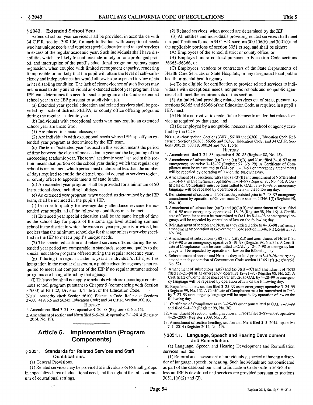## § **3043. Extended School Year.**

Extended school year services shall be provided, in accordance with 34 c.F.R. section 300.106, for each individual with exceptional needs who has unique needs and requires special education and related services in excess of the regular academic year. Such individuals shall have disabilities which are likely to continue indefinitely or for a prolonged period, and interruption of the pupil's educational programming may cause regression, when coupled with limited recoupment capacity, rendering it impossible or unlikely that the pupil will attain the level of self-sufficiency and independence that would otherwise be expected in view of his or her disabling condition. The lack of clear evidence of such factors may not be used to deny an individual an extended school year program if the IEP team determines the need for such a program and includes extended school year in the IEP pursuant to subdivision (e).

(a) Extended year special education and related services shall be provided by a school district, SELPA, or county office offering programs during the regular academic year.

(b) Individuals with exceptional needs who may require an extended school year are those who:

(1) Are placed in special classes; or

(2) Are individuals with exceptional needs whose IEPs specify an extended year program as determined by the IEP team.

(c) The term "extended year" as used in this section means the period of time between the close of one academic year and the beginning of the succeeding academic year. The term "academic year" as used in this section means that portion of the school year during which the regular day school is maintained, which period must include not less than the number of days required to entitle the district, special education services region, or county office to apportionments of state funds.

(d) An extended year program shall be provided for a minimum of 20 instructional days, including holidays.

(e) An extended year program, when needed, as determined by the IEP team, shall be included in the pupil's IEP.

(f) In order to qualify for average daily attendance revenue for extended year pupils, all of the following conditions must be met:

(I) Extended year special education shall be the same length of time as the school day for pupils of the same age level attending summer school in the district in which the extended year program is provided, but not less than the minimum school day for that age unless otherwise specified in the IEP to meet a pupil's unique needs.

(2) The special education and related services offered during the extended year period are comparable in standards, scope and quality to the special education program offered during the regular academic year.

(g) If during the regular academic year an individual's IEP specifies integration in the regular classroom, a public education agency is not required to meet that component of the IEP if no regular summer school programs are being offered by that agency.

(i) This section shall not apply to schools which are operating a continuous school program pursuant to Chapter 5 (commencing with Section 37600) of Part 22, Di vision 3, Title 2, of the Education Code. NOTE: Authority cited: Section 56100, Education Code. Reference: Sections 37600,41976.5 and 56345, Education Code; and 34 C.F.R. Section 300.106. **HISTORY** 

I. Amendment filed 3-21-88; operative 4-20-88 (Register 88, No. 15).

2. Amendment of section and NOTE filed 5-5-2014; operative 7-I -20 14 (Register 2014, No. 19).

## **Article 5. Implementation (Program Components)**

## .§ **3051. Standards for Related Services and Staff Qualifications.**

(a) General Provisions.

 $\frac{1}{2}$  .

(1) Related services may be provided to individuals or to small groups in a specialized area of educational need, and throughout the full continuum of educational settings.

(2) Related services, when needed are determined by the IEP.

(3) All entities and individuals providing related services shall meet the qualifications found in 34C.F.R. sections 300.l56(b) and 3001(r) and the applicable portions of section 3051 et seq. and shall be either:

(A) Employees of the school district or county office, or

(B) Employed under contract pursuant to Education Code sections 56365-56366, or

(C) Employees, vendors or contractors of the State Departments of Health Care Services or State Hospitals, or any designated local public health or mental health agency.

(4) To be eligible for certification to provide related services to individuals with exceptional needs, nonpublic schools and nonpublic agencies shall meet the requirements of this section.

(5) An individual providing related services out of state, pursuant to sections 56365 and 56366 of the Education Code, as required in a pupil's IEP, must:

(A) Hold a current valid credential or license to render that related service as required by that state, and

(B) Be employed by a nonpublic, nonsectarian school or agency certified by the CDE.

NOTE: Authority cited: Sections 33031,56100 and 56366.1, Education Code. Reference: Sections 56363, 56365 and 56366, Education Code; and 34 C.F.R. Sections 300.12, 300.18, 300.34 and 300. I 56(b). **HISTORY** 

- 1. Amendment filed 3-21-88; operative 4-20-88 (Register 88, No. 15).
- 2. Amendment of subsections (a)(2) and (a)(3)(B) and NOTE filed  $7-18-97$  as an emergency; operative 7-18-97 (Register 97, No. 29). A Certificate of Com-pliance must be transmitted to OAL by I 1-17-97 or emergency amendments will be repealed by operation of law on the following day.
- 3. Amendment of subsections (a)(2) and (a)(3)(B) and amendment of NOTE refiled 11-14-97 as an emergency; operative 11-14-97 (Register 97, No. 46). A Cer-tificate of Compliance must be transmitted to OAL by 3-I 6-98 or emergency language will be repealed by operation of law on the following day.
- 4. Reinstatement of section and NOTE as they existed prior to 7-18-97 emergency amendment by operation of Government Code section 11346.1(f) (Register 98, No. 16).
- 5. Amendment of subsections (a)(2) and (a)(3)(B) and amendment of NOTE filed 4-16-98 as an emergency; operative 4-16-98 (Register 98, No. 16). A Certificate of Compliance must be transmitted to OAL by 8-14-98 or emergency language will be repealed by operation of law on the following day.
- 6. Reinstatement of section and NOTE as they existed prior to 4-16-98 emergency amendment by operation of Government Code section 11346.1(1) (Register 98, No. 34).
- 7. Amendment of subsections (a)(2) and (a)(3)(B) and amendment of NOTE filed 8-19-98 as an emergency; operative 8-19-98 (Register 98, No. 34). A Certificate of Compliance must be transmitted to OAL by 12-17-98 or emergency language will be repealed by operation of law on the following day.
- 8. Reinstatement of section and NOTE as they existed prior to 8-19-98 emergency amendment by operation of Government Code section 11346.1(f) (Register 98, No. 52).
- 9. Amendment of subsections (a)(2) and (a)(3)(B)–(C) and amendment of NOTE filed 12-21-98 as an emergency; operative 12-21-98 (Register 98, No. 52). A Certificate of Compliance must be transmitted to OAL by 4-20-99 or emergency language will be repealed by operation of law on the following day.
- 10. Repealer and new section filed 3-25-99 as an emergency; operative 3-25-99 (Register 99, No. 13). A Certificate of Compliance must be transmitted to OAL by 7-23-99 or emergency language will be repealed by operation of law on the following day.
- 1 I. Certificate of Compliance as to 3-25-99 order transmitted to OAL 7-23-99 and filed 9-1-99 (Register 99, No. 36).
- 12. Amendment of section heading, section and NOTE filed 3-27-2009; operative 4-26-2009 (Register 2009, No. 13).
- 13. Amendment of section heading, section and NOTE filed 5-5-2014; operative 7-1-2014 (Register 2014, No. 19).

## § **3051.1. Language, Speech and Hearing Development and Remediation.**

(a) Language, Speech and Hearing Development and Remediation services include:

(1) Referral and assessment of indi viduals suspected of having a disorder of language, speech, or hearing. Such individuals are not considered as part of the caseload pursuant to Education Code section 56363.3 unless an IEP is developed and services are provided pursuant to sections  $3051.1(a)(2)$  and  $(3)$ .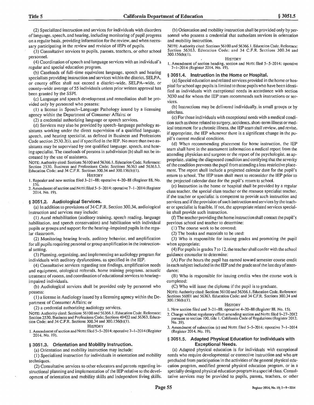(2) Specialized instruction and services for individuals with disorders of language. speech. and hearing. including monitoring of pupil progress on a regular basis. providing information for the review. and when necessary participating in the review and revision of IEPs of pupils.

(3) Consultative services to pupils. parents. teachers. or other school personnel.

(4) Coordination of speech and language services with an individual's regular and special education program.

(b) Caseloads of full-time equivalent language. speech and hearing specialists providing instruction and services within the district. SELPA. or county office shall not exceed a district-wide, SELPA-wide, or county-wide average of 55 individuals unless prior written approval has been granted by the SSP!.

(c) Language and speech development and remediation shall be provided only by personnel who possess:

(I) a license in Speech-Language Pathology issued by a licensing agency within the Department of Consumer Affairs: or

(2) a credential authorizing language or speech services.

(d) Services may also be provided by speech-language pathology assistants working under the direct supervision of a qualitied language. speech, and hearing specialist, as defined in Business and Professions Code section 2530.2(i), and if specified in the IEP. No more than two assistants may be supervised by one qualitied language. speech. and hearing specialist. The caseloads of persons in subdivision (b) shall not be increased by the use of assistants.

NOTE: Authority cited: Sections 56100 and 56366.1. Education Code. Reference: Section 2530. Business and Professions Code: Sections 56363 and 56363.3. Education Code: and 34 C.F.R. Sections 300.34 and 300.156(b)( I l.

#### **HISTORY**

1. Repealer and new section filed 3-21-88: operative 4-20-88 (Register 88, No. 15).

2. Amendment of section and NOTE filed 5-5-2014; operative 7-1-2014 (Register 2014. No. 19).

## § 3051.2. Audiological Services.

(a) In addition to provisions of 34 C.F.R. Section 300.34. audiological instruction and services may include:

(I) Aural rehabilitation (auditory training. speech reading. language habilitation. and speech conservation) and habilitation with individual pupils or groups and support for the hearing-impaired pupils in the regular classroom.

(2) Monitoring hearing levels. auditory behavior. and amplification for all pupils requiring personal or group amplification in the instructional setting.

(3) Planning. organizing. and implementing an audiology program for individuals with auditory dysfunctions, as specified in the IEP.

(4) Consultative services regarding test findings. amplitication needs and equipment. otological referrals. home training programs. acoustic treatment of rooms. and coordination of educational services to hearingimpaired individuals.

(b) Audiological services shall be provided only by personnel who possess:

(I) a license in Audiology issued by a licensing agency within the Department of Consumer Affairs: or

(2) a credential authorizing audiology services.

NOTE: Authority cited: Sections 56100 and 56366.1. Education Code. Reference: Section 2530. Business and Professions Code: Sections 49422 and 56363. Education Code: and 34 C.F.R. Sections 300.34 and 300. I 56(b )( I). HISTORY

I. Amendment of section and NOTE filed 5-5-2014: operative 7-1-2014 (Register 2014. No. 19).

## § 3051.3. Orientation and Mobility Instruction.

(a) Orientation and mobility instruction may include:

(I) Specialized instruction for individuals in orientation and mobility techniques.

(2) Consultative services to other educators and parents regarding instructional planning and implementation of the IEP relative to the development of orientation and mobility skills and independent living skills.

(b) Orientation and mobility instruction shall be provided only by personnel who possess a credential that authorizes services in orientation and mobility instruction.

NOTE: Authority cited: Sections 56100 and 56366.1. Education Code. Reference: Section 56363. Education Code: and 34 C.F.R. Sections 300.34 and 300.156(b)( I).

#### **HISTORY**

I. Amendment of section heading. section and NOTE filed 5-5-2014: operative 7-1-2014 (Register 2014. No. 19).

## § 3051.4. Instruction in the Home or Hospital.

(a) Special education and related services provided in the home or hospital for school age pupils is limited to those pupils who have been identitied as individuals with exceptional needs in accordance with section 3030 and for whom the IEP team recommends such instructions or services.

(b) Instructions may be delivered individually. in small groups or by teleclass.

(c) For those individuals with exceptional needs with a medical condition such as those related to surgery. accidents. short-term illness or medical treatment for a chronic illness. the IEP team shall review. and revise. if appropriate. the IEP whenever there is a significant change in the pupil's current medical condition.

(d) When recommending placement for home instruction. the IEP team shall have in the assessment information a medical report from the attending physician and surgeon or the report of the psychologist. as appropriate. stating the diagnosed condition and certifying that the severity ofthe condition prevents the pupil from attending a less restrictive placement. The report shall include a projected calendar date for the pupil's return to school. The IEP team shall meet to reconsider the IEP prior to the projected calendar date for the pupil's return to school.

(e) Instruction in the home or hospital shall be provided by a regular class teacher. the special class teacher or the resource specialist teacher. if the teacher or specialist is competent to provide such instruction and services and if the provision of such instruction and services by the teacher or specialist is feasible. If not, the appropriate related services specialist shall provide such instruction.

(f) The teacher providing the home instruction shall contact the pupil's previous school and teacher to determine:

(I) The course work to be covered:

(2) The books and materials to be used:

(3) Who is responsible for issuing grades and promoting the pupil when appropriate:

(4) For pupils in grades 7 to 12. the teacher shall confer with the school guidance counselor to determine:

(A) For the hours the pupil has earned toward semester course credit in each subject included in the IEP and the grade as of the last day of attendance:

(B) Who is responsible for issuing credits when the course work is completed:

(C) Who will issue the diploma if the pupil is to graduate.

NOTE: Authority cited: Sections 56100 and 56366.1. Education Code. Reference: Sections 56001 and 56363. Education Code: and 34 C.F.R. Sections 300.34 and  $300.156(b)(1)$ .

## **HISTORY**

- 1. New section filed and 3-21-88: operative 4-20-88 (Register 88, No. 15).
- 2. Change without regulatory effect amending section and NOTE filed 9-27-2012 pursuant to section 100. title I. California Code of Regulations (Register 2012. No. 39).
- 3. Amendment of subsection (el and NOTE filed 5-5-2014: operative 7-1-2014 (Register 2014. No. 19).

## § 3051.5. Adapted Physical Education for Individuals with Exceptional Needs.

(a) Adapted physical education is for individuals with exceptional needs who require developmental or corrective instruction and who are precluded from participation in the activities of the general physical education program, modified general physical education program, or in a specially designed physical education program in aspecial class. Consultative services may be provided to pupils, parents. teachers. or other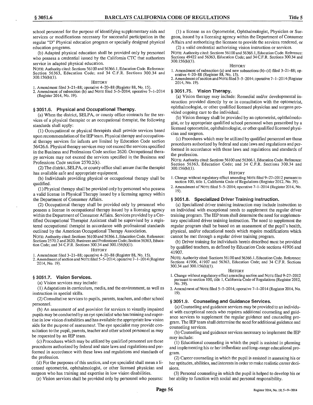school personnel for the purpose of identifying supplementary aids and services or modifications necessary for successful participation in the regular "D" Physical education program or specially designed physical education programs.

(b) Adapted physical education shall be provided only by personnel who possess a credential issued by the California CTC that authorizes service in adapted physical education.

NOTE: Authority cited: Sections 56100 and 56366.1, Education Code. Reference: Section 56363, Education Code; and 34 C.F.R. Sections 300.34 and 300.156(b)(l).

#### **HISTORY**

I. Amendment filed 3-21-88; operative 4-20-88 (Register 88, No. 15). 2. Amendme.nt of subsection (b) and NOTE filed 5-5-2014; operative 7-1-2014 (Register 2014, No. 19).

#### § **3051.6. Physical and Occupational Therapy.**

(a) When the district, SELPA, or county office contracts for the services of a physical therapist or an occupational therapist, the following standards shall apply:

(1) Occupational or physical therapists shall provide services based upon recommendation of the IEP team. Physical therapy and occupational therapy services for infants are limited by Education Code section 56426.6. Physical therapy services may not exceed the services specified in the Business and Professions Code section 2620. Occupational therapy services may not exceed the services specified in the Business and Professions Code section 2570.2(k).

(2) The district, SELPA, or county office shall assure that the therapist has available safe and appropriate equipment.

(b) Individuals providing physical or occupational therapy shall be qualified.

(1) Physical therapy shall be provided only by personnel who possess a valid license in Physical Therapy issued by a licensing agency within the Department of Consumer Affairs.

(2) Occupational therapy shall be provided only by personnel who possess a license in occupational therapy issued by a licensing agency within the Department of Consumer Affairs. Services provided by a Certified Occupational Therapist Assistant shall be supervised by a registered occupational therapist in accordance with professional standards outlined by the American Occupational Therapy Association.

NOTE: Authority cited: Sections 56100 and 56366.1, Education Code. Reference: Sections 2570.2 and 2620, Business and Professions Code; Section 56363, Education Code; and 34 C.F.R. Sections 300.34 and 300.156(b)(I).

#### **HISTORY**

I. Amendment filed 3-21-88; operative 4-20-88 (Register 88, No. IS).

2. Amendment of section and NOTE filed 5-5-2014; operative 7-1-20 14 (Register 2014, No. 19).

## § **3051.7. Vision Services.**

(a) Vision services may include:

(1) Adaptations in curriculum, media, and the environment, as well as instruction in special skills.

(2) Consultative services to pupils, parents, teachers, and other school personnel.

(b) An assessment of and provision for services to visually impaired pupils may be conducted by an eye specialist who has training and expertise in low vision disabilities and has available the appropriate low vision aids for the purpose of assessment. The eye specialist may provide consultation to the pupil, parents, teacher and other school personnel as may be requested by an IEP team.

(c) Procedures which may be utilized by qualified personnel are those procedures authorized by federal and state laws and regulations-and performed in accordance with these laws and regulations and standards of the profession.

(d) For the purposes of this section, and eye specialist shall mean a licensed optometrist, ophthalmologist, or other licensed physician and surgeon who has training and expertise in low vision disabilities.

(e) Vision services shall be provided only by personnel who possess:

(1) a license as an Optometrist, Ophthalmologist, Physician or Surgeon, issued by a licensing agency within the Department of Consumer Affairs and authorizing the licensee to provide the services rendered, or (2) a valid credential authorizing vision instruction or services.

NOTE: Authority cited: Sections 56100 and 56366.1, Education Code. Reference: Sections 49422 and 56363, Education Code; and 34 C.F.R. Sections 300.34 and 300.156(b)( I).

#### **HISTORY**

1. Amendment of subsection (a) and new subsections (b)-(d) filed 3-21-88; operative 4-20-88 (Register 88, No. IS).

2. Amendment of section and NOTE filed 5-5-2014; operative 7-1-20 14 (Register 2014, No. 19).

## § **3051.75. Vision Therapy.**

(a) Vision therapy may include: Remedial and/or developmental instruction provided directly by or in consultation with the optometrist, ophthalmologist, or other qualified licensed physician and surgeon provided ongoing care to the individual.

(b) Vision therapy shall be provided by an optometrist, ophthalmologist, or by appropriate qualified school personnel when prescribed by a licensed optometrist, ophthalmologist, or other qualified licensed physician and surgeon.

(c) Procedures which may be utilized by qualified personnel are those procedures authorized by federal and state laws and regulations and performed in accordance with these laws and regulations and standards of the profession.

NOTE: Authority cited: Sections 56100 and 56366.1, Education Code. Reference: Section 56363, Education Code; and 34 C.F.R. Sections 300.34 and 300.156(b)( I).

#### **HISTORY**

I. Change without regulatory effect amending NOTE filed 9-27-2012 pursuant to section 100, title 1, California Code of Regulations (Register 2012, No. 39).

2. Amendment of NOTE filed 5-5-2014; operative 7-1-2014 (Register 2014, No. 19).

## § **3051.8. Specialized Driver Training Instruction.**

(a) Specialized driver training instruction may include instruction to an individual with exceptional needs to supplement the regular driver training program. The IEP team shall determine the need for supplementary specialized driver training instruction. The need to supplement the regular program shall be based on an assessment of the pupil's health, physical, and/or educational needs which require modifications which cannot be met through a regular driver training program.

(b) Driver training for individuals herein described must be provided by qualified teachers, as defined by Education Code sections 41906 and 41907.

NOTE: Authority cited: Sections 56100 and 56366.1, Education Code. Reference: Sections 41906, 41907 and 56363, Education Code; and 34 C.F.R. Sections 300.34 and 300.156(b)(l).

#### **HISTORY**

- I. Change without regulatory effect amending section and NOTE filed 9-27-2012 pursuant to section 100, title I, California Code of Regulations (Register 2012, No. 39).
- 2. Amendment of NOTE filed 5-5-2014; operative 7-1-2014 (Register 2014, No. 19).

## § **3051.9. Counseling and Guidance Services.**

(a) Counseling and guidance services may be provided to an individual with exceptional needs who requires additional counseling and guidance services to supplement the regular guidance and counseling program. The IEP team shall determine the need for additional guidance and counseling services.

(b) Counseling and guidance services necessary to implement the IEP may include:

(I) Educational counseling in which the pupil is assisted in planning and implementing his or her inimediate and long-range educational program.

(2) Career counseling in which the pupil is assisted in assessing his or her aptitudes, abilities, and interests in order to make realistic career decisions.

(3) Personal counseling in which the pupil is helped to develop his or her ability to function with social and personal responsibility.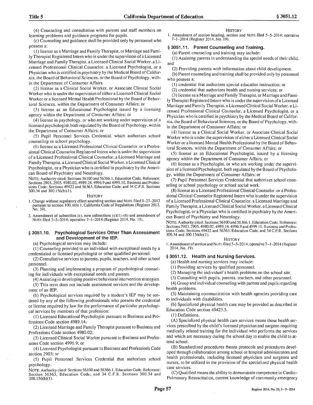(4) Counseling and consultation with parents and staff members on learning problems and guidance programs for pupils.

(c) Counseling and guidance shall be provided only by personnel who possess a:

(I) license as a Marriage and Family Therapist. or Marriage and Family Therapist Registered Intern who is under the supervision of a Licensed Marriage and Family Therapist. a Licensed Clinical Social Worker. a Licensed Professional Clinical Counselor. a Licensed Psychologist. or a Physician who is certified in psychiatry by the Medical Board of California. the Board of Behavioral Sciences. or the Board of Psychology. within the Department of Consumer Affairs.

(2) license as a Clinical Social Worker. or Associate Clinical Social Worker who is under the supervision of either a Licensed Clinical Social Worker or a licensed Mental Health Professional by the Board of Behavioral Sciences. within the Department of Consumer Affairs: or

(3) license as an Educational Psychologist issued by a licensing agency within the Department of Consumer Affairs: or

(4) license in psychology. or who are working under supervision of a licensed psychologist. both regulated by the Board of Psychology, within the Department of Consumer Affairs: or

(5) Pupil Personnel Services Credential. which authorizes school counseling or school psychology.

(6) license as a Licensed Professional Clinical Counselor. or a Professional Clinical Counselor Registered Intern who is under the supervision of a Licensed Professional Clinical Counselor. a Licensed Marriage and Family Therapist. a Licensed Clinical Social Worker. a Licensed Clinical Psychologist. or a Physician who is certified in psychiatry by the American Board of Psychiatry and Neurology.

NOTE: Authority cited: Sections 56100 and 56366.1. Education Code. Reference: Sections 2903, 2905, 4980.02, 4989.24, 4996.9 and 4999.10. Business and Professions Code: Sections 49422 and 56363. Education Code: and 34 C.F.R. Sections 300.34 and 300.156(b)( I ).

#### **HISTORY**

1. Change without regulatory effect amending section and NOTE filed 9-27-2012 pursuant to section 100, title 1, California Code of Regulations (Register 2012, No. 39).

2. Amendment of subsection (c), new subsections (c)( $1$ )-(6) and amendment of NOTE filed 5-5-2014: operative 7-1-2014 (Register 2014. No. 19).

## § **3051.10. Psychological Services Other Than Assessment and Development of the IEP.**

(a) Psychological services may include:

(I) Counseling provided to an individual with exceptional needs by a credentialed or licensed psychologist or other qualified personnel.

(2) Consultative services to parents. pupils. teachers. and other school personnel. .

(3) Planning and implementing a program of psychological counseling for individuals with exceptional needs and parents.

(4) Assisting in developing positive behavioral intervention strategies.

(5) This term does not include assessment services and the development of an IEP.

(b) Psychological services required by a student's IEP may be rendered by any of the following professionals who possess the credential or license required by law for the performance of particular psychological services by members of that profession:

(1) Licensed Educational Psychologist pursuant to Business and Professions Code section 4989.14:

(2) Licensed Marriage and Family Therapist pursuant to Business and Professions Code section 4980.02:

(3) Licensed Clinical Social Worker pursuant to Business and Professions Code section 4996.9: or

(4) Licensed Psychologist pursuant to Business and Professions Code section 2903: or

(5) Pupil Personnel Services Credential that authorizes school psychology.

NOTE: Authority cited: Sections 56100 and 56366.1, Education Code. Reference: Section 56363, Education Code; and 34 C.F.R. Sections 300.34 and 300.156(b)( I).

## **HISTORY**

I. Amendment of section heading. section and NOTE filed 5-5-2014: operative 7-1-2014 (Register 2014. No. 19).

## § **3051.11. Parent Counseling and Training.**

(a) Parent counseling and training may include:

(I) Assisting parents in understanding the special needs of their child. and

(2) Providing parents with information about child development.

(b) Parent counseling and training shall be provided only by personnel who possess a:

(I) credential that authorizes special education instruction: or

(2) credential that authorizes health and nursing services: or

(3) license as a Marriage and Family Therapist. or Marriage and Family Therapist Registered Intern who is under the supervision of a Licensed Marriage and Family Therapist. a Licensed Clinical Social Worker. a licensed Professional Clinical Counselor. a Licensed Psychologist. or a Physician who is certified in psychiatry by the Medical Board of California. the Board of Behavioral Sciences. or the Board of Psychology. within the Department of Consumer Affairs: or

(4) license as a Clinical Social Worker. or Associate Clinical Social Worker who is under the supervision of either a Licensed Clinical Social Worker or a licensed Mental Health Professional by the Board of Behavioral Sciences. within the Department of Consumer Affairs: or

(5) license as an Educational Psychologist. issued by a licensing agency within the Department of Consumer Affairs: or

(6) license as a Psychologist. or who are working under the supervision of a licensed Psychologist, both regulated by the Board of Psychology. within the Department of Consumer Affairs: or

(7) Pupil Personnel Services Credential that authorizes school counseling or school psychology or school social work.

(8) license as a Licensed Professional Clinical Counselor. or a Professional Clinical Counselor Registered Intern who is under the supervision of a Licensed Professional Clinical Counselor. a Licensed Marriage and Family Therapist. a Licensed Clinical Social Worker. a Licensed Clinical Psychologist. or a Physician who is certified in psychiatry by the American Board of Psychiatry and Neurology.

NOTE: Authority cited: Sections 56100 and 56366.1. Education Code. Reference: Sections *2903.* 2905. 4980.02. 4989.14. 4996.9 and 4999.10. Business and Professions Code: Sections 49422 and 56363. Education Code: and 34 C.F.R. Sections 300.34 and 300.156(b)( I ).

## **HISTORY**

I. Amendment of section and NOTE filed 5-5-20 14: operative 7-1-2014 (Register 2014. No. 19).

## § **3051.12. Health and Nursing Services.**

(a) Health and nursing services may include:

(I) Providing services by qualified personnel.

(2) Managing the individual's health problems on the school site.

(3) Consulting with pupils. parents. teachers. and other personnel.

(4) Group and individual counseling with parents and pupils regarding health problems.

(5) Maintaining communication with health agencies providing care to individuals with disabilities.

(b) Specialized physical health care may be provided as described in Education Code section 49423.5.

(I) Definitions.

(A) Specialized physical health care services means those health services prescribed by the child's licensed physician and surgeon requiring medically related training for the individual who performs the services and which are necessary during the school day to enable the child to attend school.

(B) Standardized procedures means protocols and procedures developed through collaboration among school or hospital administrators and health professionals. including licensed physicians and surgeons and nurses. to be utilized in the provision of the specialized physical health care services.

(c) Qualified means the ability to demonstrate competence in Cardio-Pulmonary Resuscitation. current knowledge of community emergency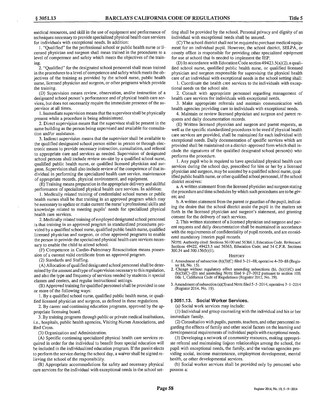medical resources, and skill in the use of equipment and performance of techniques necessary to provide specialized physical health care services for individuals with exceptional needs. In addition:

I. "Qualified" for the professional school or public health nurse or licensed physician and surgeon shall mean trained in the procedures to a level of competence and safety which meets the objectives of the training.

2. "Qualified" for the designated school personnel shall mean trained in the procedures to a level of competence and safety which meets the objectives of the training as provided by the school nurse, public health nurse, licensed physician and surgeon, or other programs which provide the training.

(D) Supervision means review, observation, and/or instruction of a designated school person's performance and of physical health care services, but does not necessarily require the immediate presence of the supervisor at all times.

1. Immediate supervision means that the supervisor shall be physically present while a procedure is being administered.

2. Direct supervision means that the supervisor shall be present in the same building as the person being supervised and available for consultation and/or assistance.

3. Indirect supervision means that the supervisor shall be available to the qualified designated school person either in person or through electronic means to provide necessary instruction, consultation, and referral to appropriate care and services as needed. Supervision of designated school persons shall include review on-site by a qualified school nurse, qualified public health nurse, or qualified licensed physician and surgeon. Supervision shall also include review of the competence of that individual in performing the specialized health care service, maintenance of appropriate records, physical environment, and equipment.

(E) Training means preparation in the appropriate delivery and skillful performance of specialized physical health care services. In addition:

I. Medically related training of credentialed school nurses or public health nurses shall be that training in an approved program which may be necessary to update or make current the nurse's professional skills and knowledge related to meeting pupils' needs for specialized physical health care services.

2. Medically related training of employed designated school personnel is that training in an approved program in standardized procedures provided by a qualified school nurse, qualified public health nurse, qualified licensed physician and surgeon, or other approved programs to enable the person to provide the specialized physical health care services necessary to enable the child to attend school.

(F) Competence in Cardio-Pulmonary Resuscitation means possession of a current valid certificate from an approved program.

(2) Standards and Staffing.

(A) Allocation of qualified designated school personnel shall be determined by the amount and type of supervision necessary to this regulation, and also the type and frequency of services needed by students in special classes and centers, and regular instructional settings.

(B) Approved training for qualified personnel shall be provided in one or more of the following ways:

1. By a qualified school nurse, qualified public health nurse, or qualified licensed physician and surgeon, as defined in these regulations.

2. By career and continuing education programs, approved by the appropriate licensing board.

3. By training programs through public or private medical institutions, i.e., hospitals, public health agencies, Visiting Nurses Associations, and Red Cross.

(3) Organization and Administration.

(A) Specific continuing specialized physical health care services required in order for the individual to benefit from special education will be included in the individualized education program. If the parent elects to perform the service during the school day, a waiver shall be signed relieving the school of the responsibility.

(B) Appropriate accommodations for safety and necessary physical care services for the individual with exceptional needs in the school set-

ting shall be provided by the school. Personal privacy and dignity of an individual with exceptional needs shall be assured.

(C) The school district shall not be required to purchase medical equipment for an individual pupil. However, the school district, SELPA, or county office is responsible for providing other specialized equipment for use at school that is needed to implement the IEP.

(D) In accordance with Education Code section 49423.5(a)(2), a qualified school nurse, qualified public health nurse, or qualified licensed physician and surgeon responsible for supervising the physical health care of an individual with exceptional needs in the school setting shall:

1. Coordinate the health care services to the individuals with exceptional needs on the school site.

2. Consult with appropriate personnel regarding management of health care services for individuals with exceptional needs.

3. Make appropriate referrals and maintain communication with health agencies providing care to individuals with exceptional needs.

4. Maintain or review licensed physician and surgeon and parent requests and daily documentation records.

(E) Written licensed physician and surgeon and parent requests, as well as the specific standardized procedures to be used if physical health care services are provided, shall be maintained for each individual with exceptional needs. Daily documentation of specific services which are provided shall be maintained on a district-approved form which shall include the signatures of the qualified designated school person(s) who performs the procedure.

1. Any pupil who is required to have specialized physical health care services during the school day, prescribed for him or her by a licensed physician and surgeon, may be assisted by a qualified school nurse, qualified public health nurse, or other qualified school personnel, if the school district receives:

a. A written statement from the licensed physician and surgeon stating the procedure and time schedules by which such procedures are to be given; and

b. A written statement from the parent or guardian of the pupil, indicating the desire that the school district assist the pupil in the matters set forth in the licensed physician and surgeon's statement, and granting consent for the delivery of such services.

2. This written statement of a licensed physician and surgeon and parent requests and daily documentation shall be maintained in accordance with the requirements of confidentiality of pupil records, and are considered mandatory interim pupil records.

NOTE: Authority cited: Sections 56100 and 56366.1, Education Code. Reference: Sections 49422, 49423.5 and 56363, Education Code; and 34 C.F.R. Sections 300.34 and 300.l56(b)(I).

## **HISTORY**

- 1. Amendment of subsection (b) $(3)(C)$  filed 3-21-88; operative 4-20-88 (Register 88, No. 15).
- 2. Change without regulatory effect amending subsections (b),  $(b)(1)(C)$  and  $(b)(3)(C)$ –(D) and amending NOTE filed 9–27–2012 pursuant to section 100, title I, California Code of Regulations (Register 2012, No. 39).
- 3. Amendment of subsection (a)(5) and NOTE filed 5-5-2014; operative 7-1-2014 (Register 2014, No. 19).

## § **3051.13. Social Worker Services.**

(a) Social work services may include:

(I) Individual and group counseling with the individual and his or her immediate family.

(2) Consultation with pupils, parents, teachers, and other personnel regarding the effects of family and other social factors on the learning and developmental requirements of individual pupils with exceptional needs.

(3) Developing a network of community resources, making appropriate referral and maintaining liaison relationships among the school, the pupil with exceptional needs, the family, and the various agencies providing social, income maintenance, employment development, mental health, or other developmental services.

(b) Social worker services shall be provided only by personnel who possess a: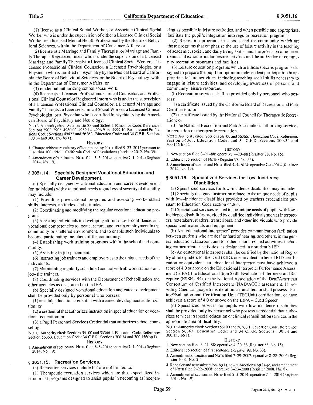(1) license as a Clinical Social Worker, or Associate Clinical Social Worker who is under the supervision of either a Licensed Clinical Social Worker or a licensed Mental Health Professional by the Board of Behavioral Sciences. within the Department of Consumer Affairs; or

(2) license as a Marriage and Family Therapist. or Marriage and Family Therapist Registered Intern who is under the supervision of a Licensed Marriage and Family Therapist. a Licensed Clinical Social Worker. a Licensed Professional Clinical Counselor. a Licensed Psychologist. or a Physician who is certified in psychiatry by the Medical Board of California. the Board of Behavioral Sciences. or the Board of Psychology. within the Department of Consumer Affairs; or

(3) credential authorizing school social work.

(4) license as a Licensed Professional Clinical Counselor. or a Professional Clinical Counselor Registered Intern who is under the supervision of a Licensed Professional Clinical Counselor. a Licensed Marriage and Family Therapist. a Licensed Clinical Social Worker. a Licensed Clinical Psychologist. or a Physician who is certified in psychiatry by the American Board of Psychiatry and Neurology.

NOTE: Authority cited: Sections 56100 and 56366.1. Education Code. Reference: Sections 2903, 2905, 4980.02, 4989.14, 4996.9 and 4999.10. Business and Professions Code: Sections 49422 and 56363. Education Code: and 34 C.F.R. Sections 300.34 and 300.156(b)(1).

#### **HISTORY**

I. Change without regulatory effect amending NOTE filed 9-27-2012 pursuant to section 100. title 1. California Code of Regulations (Register 2012. No. 39).

2. Amendment of section and NOTE filed 5-5-2014; operative 7-1-2014 (Register 2014. No. 19).

## § **3051.14. Specially Designed Vocational Education and Career Development.**

(a) Specially designed vocational education and career development for individuals with exceptional needs regardless of severity of disability may include:

(I) Providing prevocational programs and assessing work-related skills, interests, aptitudes, and attitudes.

(2) Coordinating and modifying the regular vocational education program.

(3) Assisting individuals in developing attitudes. self-confidence. and vocational competencies to locate. secure. and retain employment in the community or sheltered environment. and to enable such individuals to become participating members of the community.

(4) Establishing work training programs within the school and community.

(5) Assisting in job placement.

(6) Instructing job trainers and employers as to the unique needs of the indi viduals.

(7) Maintaining regularly scheduled contact with all work stations and job-site trainers.

(8) Coordinating services with the Department of Rehabilitation and other agencies as designated in the IEP.

(b) Specially designed vocational education and career development shall be provided only by personnel who possess:

 $(1)$  an adult education credential with a career development authorization; or

(2) a credential that authorizes instruction in special education or vocational education; or

(3) a Pupil Personnel Services Credential that authorizes school counseling.

NOTE: Authority cited: Sections 56100 and 56366.1. Education Code. Reference: Section 56363. Education Code: 34 C.F.R. Sections 300.34 and 300.156(b)( I). **HISTORY** 

I. Amendment of section and NOTE Iiled 5-5-2014: operative 7-1-20 14(Register 2014. No. 19).

## § **3051.15. Recreation Services.**

(a) Recreation services include but are not limited to:

(I) Therapeutic recreation services which are those specialized instructional programs designed to assist pupils in becoming as independent as possible in leisure activities, and when possible and appropriate, facilitate the pupil's integration into regular recreation programs.

(2) Recreation programs in schools and the community which are those programs that emphasize the use of leisure activity in the teaching of academic. social. and daily living skills; and. the provision of nonacademic and extracurricular leisure activities and the utilization of community recreation programs and facilities.

(3) Leisure education programs which are those specific programs designed to prepare the pupil for optimum independent participation in appropriate leisure activities. including teaching social skills necessary to engage in leisure activities. and developing awareness of personal and community leisure resources.

(b) Recreation services shall be provided only by personnel who possess:

(I) a certificate issued by the California Board of Recreation and Park Certification: or

(2) a certificate issued by the National Council for Therapeutic Recreation; or

(3) the National Recreation and Park Association. authorizing services in recreation or therapeutic recreation.

NOTE: Authoritv cited: Sections 56100 and 56366.1. Education Code. Reference: Section 56363. Education Code: and 34 C.F.R. Sections 300.34 and 300.156(b)( I).

#### **HISTORY**

1. New section filed  $3-21-88$ : operative  $4-20-88$  (Register 88, No. 15).

2. Editorial correction of NOTE (Register 98. No. 33).

3. Amendment of section and NOTE filed 5-5-2014; operative 7-1-2014 (Register 2014. No. 19).

## § **3051.16. Specialized Services for Low-Incidence Disabilities.**

(a) Specialized services for low-incidence disabilities may include:

(I) Specially designed instruction related to the unique needs of pupils with low-incidence disabilities provided by teachers credentialed pursuant to Education Code section 44265.

(2) Specialized services related to the unique needs of pupils with lowincidence disabilities provided by qualified individuals such as interpreters. notetakers. readers. transcribers. and other individuals who provide specialized materials and equipment.

(b) An "educational interpreter" provides communication facilitation between students who are deaf or hard of hearing. and others. in the general education classroom and for other school-related activities. including extracurricular activities. as designated in a student's IEP.

(c) An educational interpreter shall be certified by the national Registry of Interpreters for the Deaf (RID), or equivalent: in lieu of RID certification or equivalent. an educational interpreter must have achieved a score of 4.0 or above on the Educational Interpreter Performance Assessment (EIPA). the Educational Sign Skills Evaluation-Interpreter and Receptive (ESSE-I/R), or the National Association of the Deaf/American Consortium of Certified Interpreters (NAD/ACCI) assessment. If providing Cued Language transliteration. a transliterator shall possess Testing/Evaluation and Certification Unit (TECUnit) certification. or have achieved a score of 4.0 or above on the EIPA - Cued Speech.

(d) Specialized services for pupils with low-incidence disabilities shall be provided only by personnel who possess a credential that authorizes services in special education orclinical rehabilitation services in the appropriate area of disability.

NOTE: Authority cited: Sections 56100 and 56366.1. Education Code. Reference: Section 56363. Education Code: and 34 C.F.R. Sections 300.34 and 300.156(b)(l).

#### **HISTORY**

- I. New section filed 3-21-88: operative 4-20-88 (Register 88. No. 15).
- 2. Editorial correction of first sentence (Register 98. No. 33).
- 3. Amendment of section and NOTE tiled 7-29-2002: operative 8-28-2002 (Register 2002. No. 31 ).
- 4. Repealer and new subsection (b)( I). new subsections (b)(2)-(c) and amendment of NOTE filed 2-22-2008: operative 3-23-2008 (Register 2008. No.8).
- 5. Amendment of section and NOTE filed 5-5-2014; operative 7-1-2014 (Register 2014, No. 19).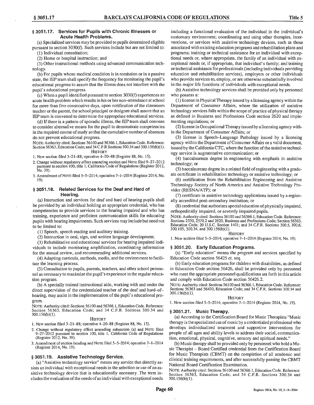## § **3051.17. Services for Pupils with Chronic Illnesses or Acute Health Problems.**

(a) Specialized services may be provided to pupils determined eligible pursuant to section 3030(f). Such services include but are not limited to:

(1) Individual consultation;

(2) Home or hospital instruction; and

(3) Other instructional methods using advanced communication technology.

(b) For pupils whose medical condition is in remission or in a passive state, the IEP team shall specify the frequency for monitoring the pupil's educational progress to assure that the illness does not interfere with the pupil's educational progress.

 $(c)$  When a pupil identified pursuant to section 3030(f) experiences an acute health problem which results in his or her non-attendance at school for more than five consecutive days, upon notification of the classroom teacher or the parent, the school principal or designee shall assure that an IEP team is convened to determine the appropriate educational services.

(d) If there is a pattern of sporadic illness, the IEP team shall convene to consider alternative means for the pupil to demonstrate competencies in the required course of study so that the cumulative number of absences do not prevent educational progress.

NOTE: Authority cited: Sections 56100 and 56366.1, Education Code. Reference: Section 56363, Education Code; and 34 C.F.R Sections 300.34 and 300.156(b)(I). **HISTORY** 

I. New section filed 3-21-88; operative 4-20-88 (Register 88, No. IS).

2. Change without regulatory effect amending section and NOTE filed 9-27-2012 pursuant to section 100, title I, California Code of Regulations (Register 2012, No. 39).

3. Amendment of NOTE filed 5-5-2014; operative 7-1-2014 (Register 2014, No. 19).

## § **3051.18. Related Services for the Deaf and Hard of Hearing.**

(a) Instruction and services for deaf and hard of hearing pupils shall be provided by an individual holding an appropriate credential, who has competencies to provide services to the hearing impaired and who has training, experience and proficient communication skills for educating pupils with hearing impairments. Such services may include but need not to be limited to:

(1) Speech, speech reading and auditory training.

(2) Instruction in oral, sign, and written language development.

(3) Rehabilitative and educational services for hearing impaired individuals to include monitoring amplification, coordinating information for the annual review, and recommending additional services.

(4) Adapting curricula, methods, media, and the environment to facilitate the learning process.

(5) Consultation to pupils, parents, teachers, and other school personnel as necessary to maximize the pupil's experience in the regulareducation program.

(b) A specially trained instructional aide, working with and under the direct supervision of the credentialed teacher of the deaf and hard-ofhearing, may assist in the implementation of the pupil's educational program.

NOTE: Authority cited: Sections 56100 and 56366.1, Education Code. Reference: Section 56363, Education Code; and 34 C.F.R. Sections 300.34 and 300.156(b)(1).

#### **HISTORY**

I. New section filed 3-21-88; operative 4-20-88 (Register 88, No. IS).

2. Change without regulatory effect amending subsection (a) and NOTE filed 9-27-2012 pursuant to section 100, title I, California Code of Regulations (Register 2012, No. 39).

3. Amendment of section heading and NOTE filed 5-5-2014; operative 7-1-2014 (Register 2014, No. 19).

#### § **3051.19. Assistive Technology Service.**

(a) "Assistive technology service" means any service that directly assists an individual with exceptional needs in the selection or use of an assistive technology device that is educationally necessary. The term includes the evaluation of the needs of an i ndi vidual with exceptional needs including a functional evaluation of the individual in the individual's customary environment; coordinating and using other therapies, interventions, or services with assistive technology devices, such as those associated with existing education programs and rehabilitation plans and programs; training or technical assistance for an individual with exceptional needs or, where appropriate, the family of an individual with exceptional needs or, if appropriate, that individual's family; and training or technical assistance for professionals (including individuals providing education and rehabilitation services), employers or other individuals who provide services to, employ, or are otherwise substantially involved in the major life functions of individuals with exceptional needs.

(b) Assistive technology services shall be provided only by personnel who possess a:

(1) license in Physical Therapy issued by a licensing agency within the Department of Consumer Affairs, where the utilization of assistive technology services falls within the scope of practice of physical therapy as defined in Business and Professions Code section 2620 and implementing regulations; or

(2) license in Occupational Therapy issued by a licensing agency within the Department of Consumer Affairs; or

(3) license in Speech-Language Pathology issued by a licensing agency within the Department of Consumer Affairs or a valid document, issued by the California CTC, where the function of the assistive technology service is augmentative communication; or

(4) baccalaureate degree in engineering with emphasis in assistive technology; or

(5) baccalaureate degree in a related field of engineering with a graduate certificate in rehabilitation technology or assistive technology; or

(6) certification from the Rehabilitation Engineering and Assistive Technology Society of North America and Assistive Technology Provider (RESNA/ATP); or

(7) certificate in assistive technology applications issued by a regionally accredited post-secondary institution; or

(8) credential that authorizes special education of physically impaired, orthopedically impaired, or severely impaired pupils.

NOTE: Authority cited: Sections 56100 and 56366.1, Education Code. Reference: Sections 2530, 2570.2 and 2620, Business and Professions Code; Section 56363, Education Code; 20 U.S.C. Section 1401; and 34 C.F.R. Sections 300.5, 300.6, 300.105,300.34, and 300.156(b)(I).

#### **HISTORY**

I. New section filed 5-5-2014; operative 7-1-2014 (Register 2014, No. 19).

#### § **3051.20. Early Education Programs.**

(a) "Early education" means the program and services specified by Education Code section 56425 et. seq.

(b) Early education programs for children with disabilities, as defined in Education Code section 56426, shall be provided only by personnel who meet the appropriate personnel qualifications set forth in this article and comply with Education Code section 56426.2.

NOTE: Authority cited: Sections 561 00 and 56366.1, Education Code. Reference: Sections 56363 and 56430, Education Code; and 34 C.F.R. Sections 300.34 and 300.156(b)(I).

## **HISTORY**

I. New section filed 5-5-2014; operative 7-1-2014 (Register 2014, No. 19).

#### § **3051.21. Music Therapy.**

(a) According to the Certification Board for Music Therapists "Music therapy is the specialized use of music by a credentialed professional who develops individualized treatment and supportive interventions for people of all ages and ability levels to address their social, communication, emotional, physical, cognitive, sensory and spiritual needs."

(b) Music therapy shall be provided only by personnel who hold aMusic Therapist - Board Certified credential from the Certification Board for Music Therapists (CBMT) on the completion of all academic and clinical training requirements, and after successfully passing the CBMT National Board Certification Examination.

NOTE: Authority cited: Sections 56100 and 56366.1, Education Code. Reference: Section 56363, Education Code; and 34 C.F.R. Sections 300.34 and 300.156(b)( I).